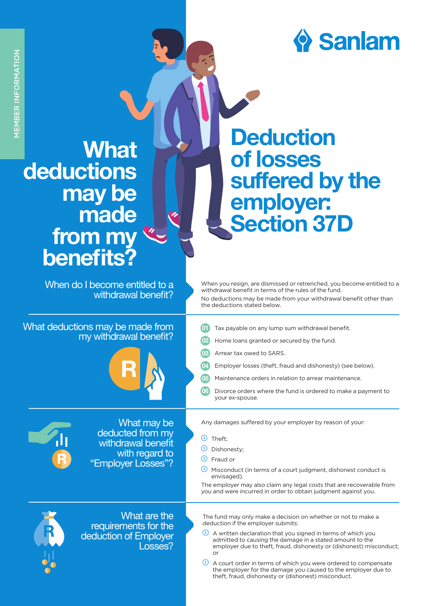## $\bullet$  Sanlam

## **What** deductions may be made from my benefits?

When do I become entitled to a withdrawal benefit?

What deductions may be made from my withdrawal benefit?



**Deduction** of losses suffered by the employer: Section 37D

When you resign, are dismissed or retrenched, you become entitled to a withdrawal benefit in terms of the rules of the fund. No deductions may be made from your withdrawal benefit other than the deductions stated below.

- **01** Tax payable on any lump sum withdrawal benefit.
- 02 Home loans granted or secured by the fund.
	- Arrear tax owed to SARS.
	- Employer losses (theft, fraud and dishonesty) (see below).
- 05 Maintenance orders in relation to arrear maintenance.
- 06 Divorce orders where the fund is ordered to make a payment to your ex-spouse.



What may be deducted from my withdrawal benefit with regard to "Employer Losses"?

Any damages suffered by your employer by reason of your:

- $\odot$  Theft:
- Dishonesty;
- $\Omega$ Fraud or

 $\odot$ Misconduct (in terms of a court judgment, dishonest conduct is envisaged).

The employer may also claim any legal costs that are recoverable from you and were incurred in order to obtain judgment against you.



What are the requirements for the deduction of Employer Losses?

The fund may only make a decision on whether or not to make a deduction if the employer submits:

A written declaration that you signed in terms of which you admitted to causing the damage in a stated amount to the employer due to theft, fraud, dishonesty or (dishonest) misconduct; or

 $\odot$ A court order in terms of which you were ordered to compensate the employer for the damage you caused to the employer due to theft, fraud, dishonesty or (dishonest) misconduct.